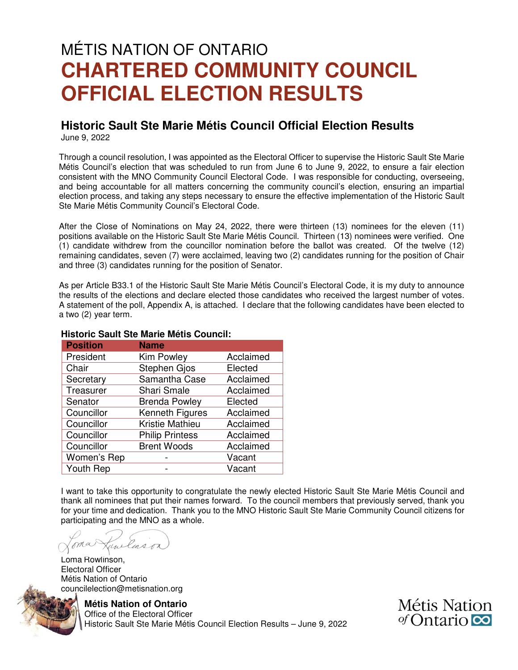# MÉTIS NATION OF ONTARIO **CHARTERED COMMUNITY COUNCIL OFFICIAL ELECTION RESULTS**

#### **Historic Sault Ste Marie Métis Council Official Election Results**  June 9, 2022

Through a council resolution, I was appointed as the Electoral Officer to supervise the Historic Sault Ste Marie Métis Council's election that was scheduled to run from June 6 to June 9, 2022, to ensure a fair election consistent with the MNO Community Council Electoral Code. I was responsible for conducting, overseeing, and being accountable for all matters concerning the community council's election, ensuring an impartial election process, and taking any steps necessary to ensure the effective implementation of the Historic Sault Ste Marie Métis Community Council's Electoral Code.

After the Close of Nominations on May 24, 2022, there were thirteen (13) nominees for the eleven (11) positions available on the Historic Sault Ste Marie Métis Council. Thirteen (13) nominees were verified. One (1) candidate withdrew from the councillor nomination before the ballot was created. Of the twelve (12) remaining candidates, seven (7) were acclaimed, leaving two (2) candidates running for the position of Chair and three (3) candidates running for the position of Senator.

As per Article B33.1 of the Historic Sault Ste Marie Métis Council's Electoral Code, it is my duty to announce the results of the elections and declare elected those candidates who received the largest number of votes. A statement of the poll, Appendix A, is attached. I declare that the following candidates have been elected to a two (2) year term.

| <b>Position</b> | <b>Name</b>            |           |  |  |  |
|-----------------|------------------------|-----------|--|--|--|
| President       | Kim Powley             | Acclaimed |  |  |  |
| Chair           | Stephen Gjos           | Elected   |  |  |  |
| Secretary       | Samantha Case          | Acclaimed |  |  |  |
| Treasurer       | <b>Shari Smale</b>     | Acclaimed |  |  |  |
| Senator         | <b>Brenda Powley</b>   | Elected   |  |  |  |
| Councillor      | Kenneth Figures        | Acclaimed |  |  |  |
| Councillor      | Kristie Mathieu        | Acclaimed |  |  |  |
| Councillor      | <b>Philip Printess</b> | Acclaimed |  |  |  |
| Councillor      | <b>Brent Woods</b>     | Acclaimed |  |  |  |
| Women's Rep     |                        | Vacant    |  |  |  |
| Youth Rep       |                        | Vacant    |  |  |  |

#### **Historic Sault Ste Marie Métis Council:**

I want to take this opportunity to congratulate the newly elected Historic Sault Ste Marie Métis Council and thank all nominees that put their names forward. To the council members that previously served, thank you for your time and dedication. Thank you to the MNO Historic Sault Ste Marie Community Council citizens for participating and the MNO as a whole.

Lunclinson ma

Loma Rowlinson, Electoral Officer Métis Nation of Ontario councilelection@metisnation.org



**Métis Nation of Ontario** 

 Office of the Electoral Officer Historic Sault Ste Marie Métis Council Election Results – June 9, 2022 Métis Nation  $\sigma$ Contario  $\infty$